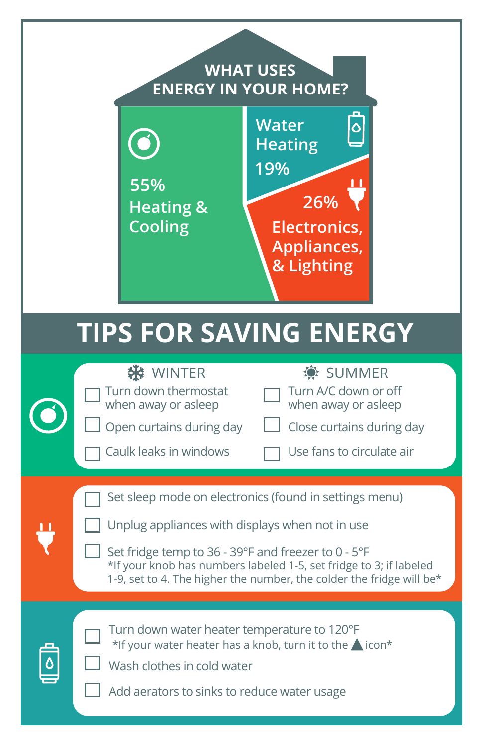## **WHAT USES ENERGY IN YOUR HOME?**



# **TIPS FOR SAVING ENERGY**

| SUMMER<br><b>WINTER</b><br>Turn A/C down or off<br>Turn down thermostat<br>when away or asleep<br>when away or asleep<br>Open curtains during day<br>Close curtains during day<br>Caulk leaks in windows<br>Use fans to circulate air                                                                          |
|----------------------------------------------------------------------------------------------------------------------------------------------------------------------------------------------------------------------------------------------------------------------------------------------------------------|
| Set sleep mode on electronics (found in settings menu)<br>Unplug appliances with displays when not in use<br>Set fridge temp to 36 - 39°F and freezer to 0 - 5°F<br>*If your knob has numbers labeled 1-5, set fridge to 3; if labeled<br>1-9, set to 4. The higher the number, the colder the fridge will be* |
| Turn down water heater temperature to 120°F<br>*If your water heater has a knob, turn it to the icon*<br>Wash clothes in cold water<br>Add aerators to sinks to reduce water usage                                                                                                                             |